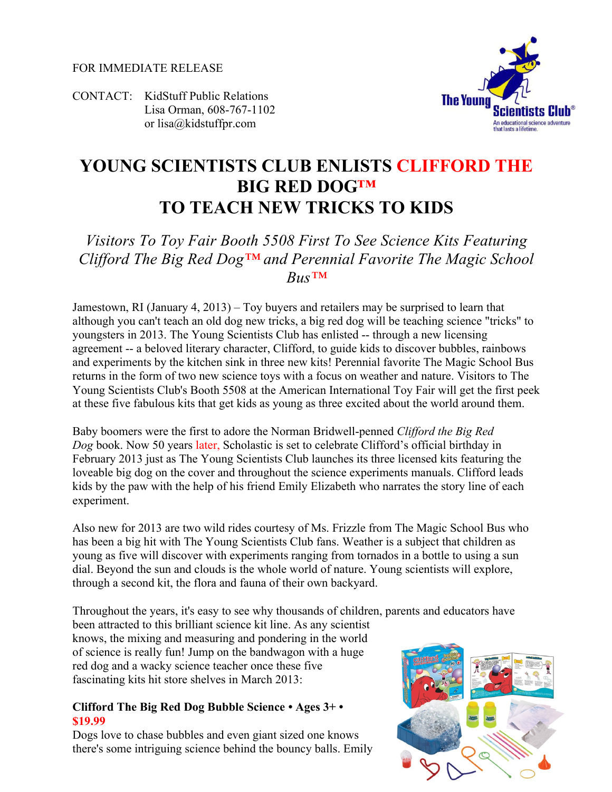FOR IMMEDIATE RELEASE

CONTACT: KidStuff Public Relations Lisa Orman, 608-767-1102 or lisa@kidstuffpr.com



# **YOUNG SCIENTISTS CLUB ENLISTS CLIFFORD THE BIG RED DOG™ TO TEACH NEW TRICKS TO KIDS**

## *Visitors To Toy Fair Booth 5508 First To See Science Kits Featuring Clifford The Big Red Dog™ and Perennial Favorite The Magic School Bus™*

Jamestown, RI (January 4, 2013) – Toy buyers and retailers may be surprised to learn that although you can't teach an old dog new tricks, a big red dog will be teaching science "tricks" to youngsters in 2013. The Young Scientists Club has enlisted -- through a new licensing agreement -- a beloved literary character, Clifford, to guide kids to discover bubbles, rainbows and experiments by the kitchen sink in three new kits! Perennial favorite The Magic School Bus returns in the form of two new science toys with a focus on weather and nature. Visitors to The Young Scientists Club's Booth 5508 at the American International Toy Fair will get the first peek at these five fabulous kits that get kids as young as three excited about the world around them.

Baby boomers were the first to adore the Norman Bridwell-penned *Clifford the Big Red Dog* book. Now 50 years later, Scholastic is set to celebrate Clifford's official birthday in February 2013 just as The Young Scientists Club launches its three licensed kits featuring the loveable big dog on the cover and throughout the science experiments manuals. Clifford leads kids by the paw with the help of his friend Emily Elizabeth who narrates the story line of each experiment.

Also new for 2013 are two wild rides courtesy of Ms. Frizzle from The Magic School Bus who has been a big hit with The Young Scientists Club fans. Weather is a subject that children as young as five will discover with experiments ranging from tornados in a bottle to using a sun dial. Beyond the sun and clouds is the whole world of nature. Young scientists will explore, through a second kit, the flora and fauna of their own backyard.

Throughout the years, it's easy to see why thousands of children, parents and educators have

been attracted to this brilliant science kit line. As any scientist knows, the mixing and measuring and pondering in the world of science is really fun! Jump on the bandwagon with a huge red dog and a wacky science teacher once these five fascinating kits hit store shelves in March 2013:

#### **Clifford The Big Red Dog Bubble Science • Ages 3+ • \$19.99**

Dogs love to chase bubbles and even giant sized one knows there's some intriguing science behind the bouncy balls. Emily

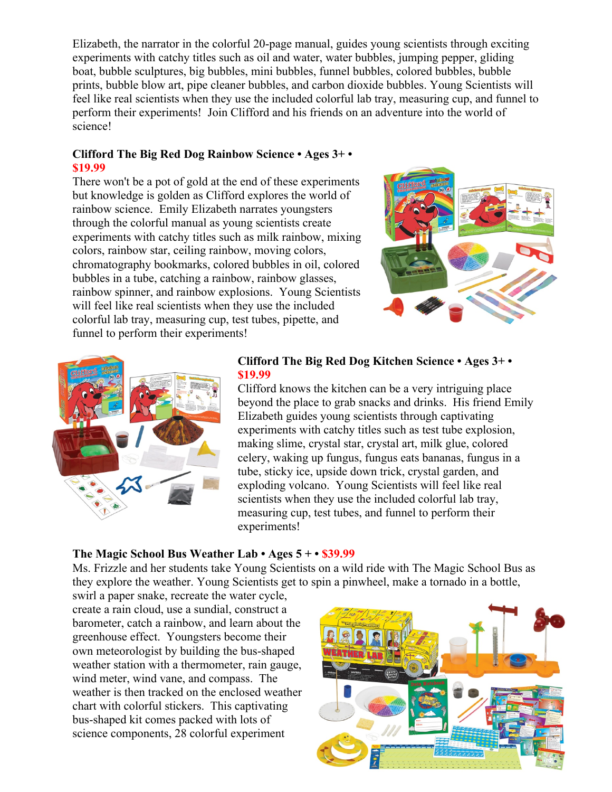Elizabeth, the narrator in the colorful 20-page manual, guides young scientists through exciting experiments with catchy titles such as oil and water, water bubbles, jumping pepper, gliding boat, bubble sculptures, big bubbles, mini bubbles, funnel bubbles, colored bubbles, bubble prints, bubble blow art, pipe cleaner bubbles, and carbon dioxide bubbles. Young Scientists will feel like real scientists when they use the included colorful lab tray, measuring cup, and funnel to perform their experiments! Join Clifford and his friends on an adventure into the world of science!

#### **Clifford The Big Red Dog Rainbow Science • Ages 3+ • \$19.99**

There won't be a pot of gold at the end of these experiments but knowledge is golden as Clifford explores the world of rainbow science. Emily Elizabeth narrates youngsters through the colorful manual as young scientists create experiments with catchy titles such as milk rainbow, mixing colors, rainbow star, ceiling rainbow, moving colors, chromatography bookmarks, colored bubbles in oil, colored bubbles in a tube, catching a rainbow, rainbow glasses, rainbow spinner, and rainbow explosions. Young Scientists will feel like real scientists when they use the included colorful lab tray, measuring cup, test tubes, pipette, and funnel to perform their experiments!





#### **Clifford The Big Red Dog Kitchen Science • Ages 3+ • \$19.99**

Clifford knows the kitchen can be a very intriguing place beyond the place to grab snacks and drinks. His friend Emily Elizabeth guides young scientists through captivating experiments with catchy titles such as test tube explosion, making slime, crystal star, crystal art, milk glue, colored celery, waking up fungus, fungus eats bananas, fungus in a tube, sticky ice, upside down trick, crystal garden, and exploding volcano. Young Scientists will feel like real scientists when they use the included colorful lab tray, measuring cup, test tubes, and funnel to perform their experiments!

#### **The Magic School Bus Weather Lab • Ages 5 + • \$39.99**

Ms. Frizzle and her students take Young Scientists on a wild ride with The Magic School Bus as they explore the weather. Young Scientists get to spin a pinwheel, make a tornado in a bottle,

swirl a paper snake, recreate the water cycle, create a rain cloud, use a sundial, construct a barometer, catch a rainbow, and learn about the greenhouse effect. Youngsters become their own meteorologist by building the bus-shaped weather station with a thermometer, rain gauge, wind meter, wind vane, and compass. The weather is then tracked on the enclosed weather chart with colorful stickers. This captivating bus-shaped kit comes packed with lots of science components, 28 colorful experiment